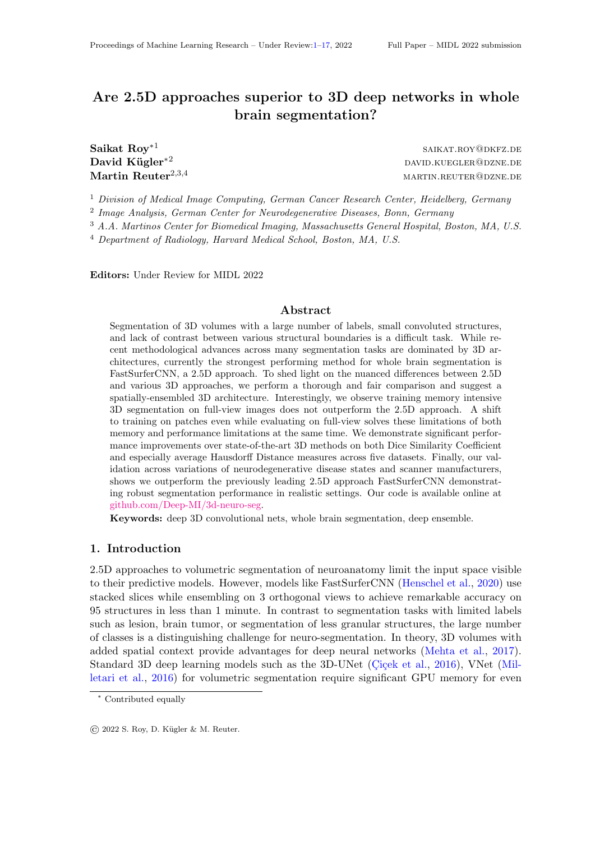# Are 2.5D approaches superior to 3D deep networks in whole brain segmentation?

Saikat Roy∗<sup>1</sup>

saikat.roy@dkfz.de David Kügler<sup>∗2</sup> David.kuegler<sup>∗2</sup> Martin Reuter<sup>2,3,4</sup> martin.reuter@dzne.de

<sup>1</sup> Division of Medical Image Computing, German Cancer Research Center, Heidelberg, Germany

2 Image Analysis, German Center for Neurodegenerative Diseases, Bonn, Germany

<sup>3</sup> A.A. Martinos Center for Biomedical Imaging, Massachusetts General Hospital, Boston, MA, U.S.

 $4$  Department of Radiology, Harvard Medical School, Boston, MA, U.S.

Editors: Under Review for MIDL 2022

### Abstract

Segmentation of 3D volumes with a large number of labels, small convoluted structures, and lack of contrast between various structural boundaries is a difficult task. While recent methodological advances across many segmentation tasks are dominated by 3D architectures, currently the strongest performing method for whole brain segmentation is FastSurferCNN, a 2.5D approach. To shed light on the nuanced differences between 2.5D and various 3D approaches, we perform a thorough and fair comparison and suggest a spatially-ensembled 3D architecture. Interestingly, we observe training memory intensive 3D segmentation on full-view images does not outperform the 2.5D approach. A shift to training on patches even while evaluating on full-view solves these limitations of both memory and performance limitations at the same time. We demonstrate significant performance improvements over state-of-the-art 3D methods on both Dice Similarity Coefficient and especially average Hausdorff Distance measures across five datasets. Finally, our validation across variations of neurodegenerative disease states and scanner manufacturers, shows we outperform the previously leading 2.5D approach FastSurferCNN demonstrating robust segmentation performance in realistic settings. Our code is available online at [github.com/Deep-MI/3d-neuro-seg.](https://github.com/Deep-MI/3d-neuro-seg)

Keywords: deep 3D convolutional nets, whole brain segmentation, deep ensemble.

# 1. Introduction

2.5D approaches to volumetric segmentation of neuroanatomy limit the input space visible to their predictive models. However, models like FastSurferCNN [\(Henschel et al.,](#page-8-0) [2020\)](#page-8-0) use stacked slices while ensembling on 3 orthogonal views to achieve remarkable accuracy on 95 structures in less than 1 minute. In contrast to segmentation tasks with limited labels such as lesion, brain tumor, or segmentation of less granular structures, the large number of classes is a distinguishing challenge for neuro-segmentation. In theory, 3D volumes with added spatial context provide advantages for deep neural networks [\(Mehta et al.,](#page-9-0) [2017\)](#page-9-0). Standard 3D deep learning models such as the 3D-UNet (Cicek et al., [2016\)](#page-8-1), VNet [\(Mil](#page-10-0)[letari et al.,](#page-10-0) [2016\)](#page-10-0) for volumetric segmentation require significant GPU memory for even

<sup>∗</sup> Contributed equally

 $\circ$  2022 S. Roy, D. Kügler & M. Reuter.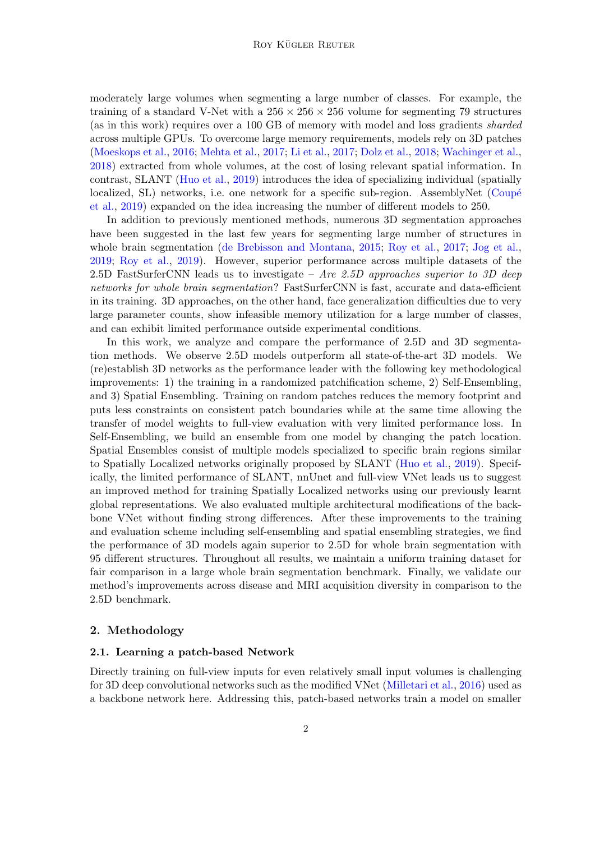moderately large volumes when segmenting a large number of classes. For example, the training of a standard V-Net with a  $256 \times 256 \times 256$  volume for segmenting 79 structures (as in this work) requires over a 100 GB of memory with model and loss gradients sharded across multiple GPUs. To overcome large memory requirements, models rely on 3D patches [\(Moeskops et al.,](#page-10-1) [2016;](#page-10-1) [Mehta et al.,](#page-9-0) [2017;](#page-9-0) [Li et al.,](#page-9-1) [2017;](#page-9-1) [Dolz et al.,](#page-8-2) [2018;](#page-8-2) [Wachinger et al.,](#page-11-0) [2018\)](#page-11-0) extracted from whole volumes, at the cost of losing relevant spatial information. In contrast, SLANT [\(Huo et al.,](#page-9-2) [2019\)](#page-9-2) introduces the idea of specializing individual (spatially localized, SL) networks, i.e. one network for a specific sub-region. AssemblyNet (Coupé [et al.,](#page-8-3) [2019\)](#page-8-3) expanded on the idea increasing the number of different models to 250.

In addition to previously mentioned methods, numerous 3D segmentation approaches have been suggested in the last few years for segmenting large number of structures in whole brain segmentation [\(de Brebisson and Montana,](#page-8-4) [2015;](#page-8-4) [Roy et al.,](#page-10-2) [2017;](#page-10-2) [Jog et al.,](#page-9-3) [2019;](#page-9-3) [Roy et al.,](#page-10-3) [2019\)](#page-10-3). However, superior performance across multiple datasets of the 2.5D FastSurferCNN leads us to investigate – Are 2.5D approaches superior to 3D deep networks for whole brain segmentation? FastSurferCNN is fast, accurate and data-efficient in its training. 3D approaches, on the other hand, face generalization difficulties due to very large parameter counts, show infeasible memory utilization for a large number of classes, and can exhibit limited performance outside experimental conditions.

In this work, we analyze and compare the performance of 2.5D and 3D segmentation methods. We observe 2.5D models outperform all state-of-the-art 3D models. We (re)establish 3D networks as the performance leader with the following key methodological improvements: 1) the training in a randomized patchification scheme, 2) Self-Ensembling, and 3) Spatial Ensembling. Training on random patches reduces the memory footprint and puts less constraints on consistent patch boundaries while at the same time allowing the transfer of model weights to full-view evaluation with very limited performance loss. In Self-Ensembling, we build an ensemble from one model by changing the patch location. Spatial Ensembles consist of multiple models specialized to specific brain regions similar to Spatially Localized networks originally proposed by SLANT [\(Huo et al.,](#page-9-2) [2019\)](#page-9-2). Specifically, the limited performance of SLANT, nnUnet and full-view VNet leads us to suggest an improved method for training Spatially Localized networks using our previously learnt global representations. We also evaluated multiple architectural modifications of the backbone VNet without finding strong differences. After these improvements to the training and evaluation scheme including self-ensembling and spatial ensembling strategies, we find the performance of 3D models again superior to 2.5D for whole brain segmentation with 95 different structures. Throughout all results, we maintain a uniform training dataset for fair comparison in a large whole brain segmentation benchmark. Finally, we validate our method's improvements across disease and MRI acquisition diversity in comparison to the 2.5D benchmark.

# 2. Methodology

#### <span id="page-1-0"></span>2.1. Learning a patch-based Network

Directly training on full-view inputs for even relatively small input volumes is challenging for 3D deep convolutional networks such as the modified VNet [\(Milletari et al.,](#page-10-0) [2016\)](#page-10-0) used as a backbone network here. Addressing this, patch-based networks train a model on smaller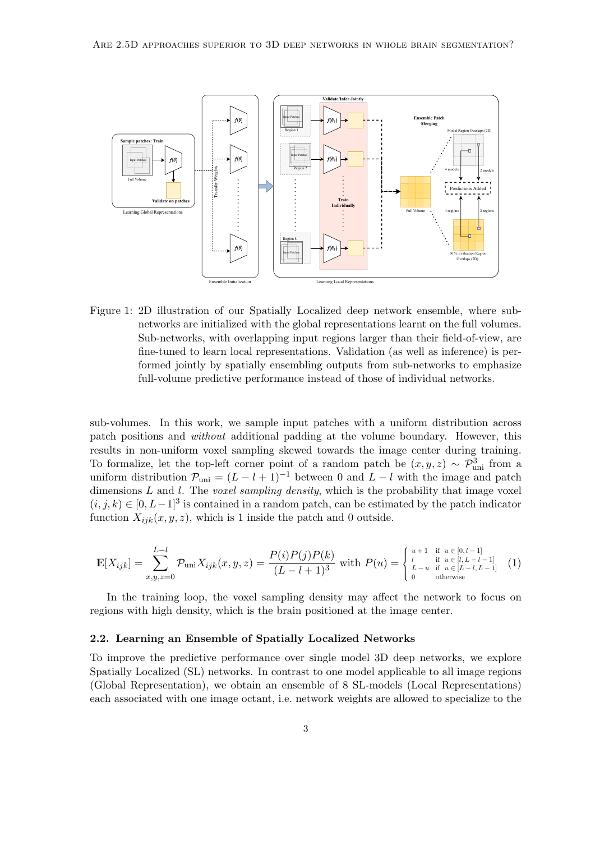

<span id="page-2-0"></span>Figure 1: 2D illustration of our Spatially Localized deep network ensemble, where subnetworks are initialized with the global representations learnt on the full volumes. Sub-networks, with overlapping input regions larger than their field-of-view, are fine-tuned to learn local representations. Validation (as well as inference) is performed jointly by spatially ensembling outputs from sub-networks to emphasize full-volume predictive performance instead of those of individual networks.

sub-volumes. In this work, we sample input patches with a uniform distribution across patch positions and without additional padding at the volume boundary. However, this results in non-uniform voxel sampling skewed towards the image center during training. To formalize, let the top-left corner point of a random patch be  $(x, y, z) \sim \mathcal{P}^3_{\text{uni}}$  from a uniform distribution  $\mathcal{P}_{\text{uni}} = (L - l + 1)^{-1}$  between 0 and  $L - l$  with the image and patch dimensions  $L$  and  $l$ . The *voxel sampling density*, which is the probability that image voxel  $(i, j, k) \in [0, L-1]^3$  is contained in a random patch, can be estimated by the patch indicator function  $X_{ijk}(x, y, z)$ , which is 1 inside the patch and 0 outside.

$$
\mathbb{E}[X_{ijk}] = \sum_{x,y,z=0}^{L-l} \mathcal{P}_{\text{uni}} X_{ijk}(x,y,z) = \frac{P(i)P(j)P(k)}{(L-l+1)^3} \text{ with } P(u) = \begin{cases} u+1 & \text{if } u \in [0,l-1] \\ l & \text{if } u \in [l,L-l-1] \\ l-u & \text{if } u \in [L-l,L-1] \\ 0 & \text{otherwise} \end{cases} (1)
$$

In the training loop, the voxel sampling density may affect the network to focus on regions with high density, which is the brain positioned at the image center.

#### 2.2. Learning an Ensemble of Spatially Localized Networks

To improve the predictive performance over single model 3D deep networks, we explore Spatially Localized (SL) networks. In contrast to one model applicable to all image regions (Global Representation), we obtain an ensemble of 8 SL-models (Local Representations) each associated with one image octant, i.e. network weights are allowed to specialize to the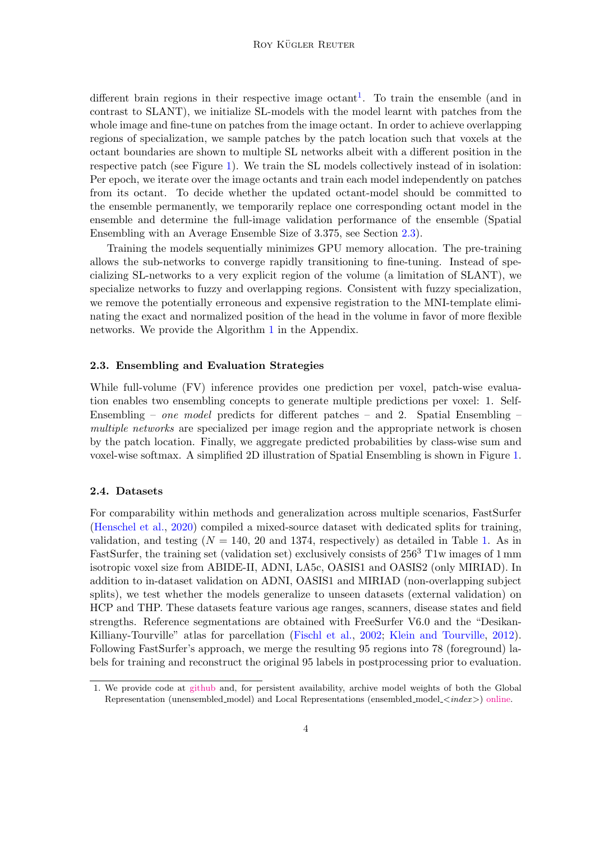different brain regions in their respective image octant<sup>[1](#page-3-0)</sup>. To train the ensemble (and in contrast to SLANT), we initialize SL-models with the model learnt with patches from the whole image and fine-tune on patches from the image octant. In order to achieve overlapping regions of specialization, we sample patches by the patch location such that voxels at the octant boundaries are shown to multiple SL networks albeit with a different position in the respective patch (see Figure [1\)](#page-2-0). We train the SL models collectively instead of in isolation: Per epoch, we iterate over the image octants and train each model independently on patches from its octant. To decide whether the updated octant-model should be committed to the ensemble permanently, we temporarily replace one corresponding octant model in the ensemble and determine the full-image validation performance of the ensemble (Spatial Ensembling with an Average Ensemble Size of 3.375, see Section [2.3\)](#page-3-1).

Training the models sequentially minimizes GPU memory allocation. The pre-training allows the sub-networks to converge rapidly transitioning to fine-tuning. Instead of specializing SL-networks to a very explicit region of the volume (a limitation of SLANT), we specialize networks to fuzzy and overlapping regions. Consistent with fuzzy specialization, we remove the potentially erroneous and expensive registration to the MNI-template eliminating the exact and normalized position of the head in the volume in favor of more flexible networks. We provide the Algorithm [1](#page-12-0) in the Appendix.

### <span id="page-3-1"></span>2.3. Ensembling and Evaluation Strategies

While full-volume (FV) inference provides one prediction per voxel, patch-wise evaluation enables two ensembling concepts to generate multiple predictions per voxel: 1. Self-Ensembling – one model predicts for different patches – and 2. Spatial Ensembling – multiple networks are specialized per image region and the appropriate network is chosen by the patch location. Finally, we aggregate predicted probabilities by class-wise sum and voxel-wise softmax. A simplified 2D illustration of Spatial Ensembling is shown in Figure [1.](#page-2-0)

#### <span id="page-3-2"></span>2.4. Datasets

For comparability within methods and generalization across multiple scenarios, FastSurfer [\(Henschel et al.,](#page-8-0) [2020\)](#page-8-0) compiled a mixed-source dataset with dedicated splits for training, validation, and testing  $(N = 140, 20, 1374,$  respectively) as detailed in Table [1.](#page-11-1) As in FastSurfer, the training set (validation set) exclusively consists of  $256<sup>3</sup>$  T1w images of 1 mm isotropic voxel size from ABIDE-II, ADNI, LA5c, OASIS1 and OASIS2 (only MIRIAD). In addition to in-dataset validation on ADNI, OASIS1 and MIRIAD (non-overlapping subject splits), we test whether the models generalize to unseen datasets (external validation) on HCP and THP. These datasets feature various age ranges, scanners, disease states and field strengths. Reference segmentations are obtained with FreeSurfer V6.0 and the "Desikan-Killiany-Tourville" atlas for parcellation [\(Fischl et al.,](#page-8-5) [2002;](#page-8-5) [Klein and Tourville,](#page-9-4) [2012\)](#page-9-4). Following FastSurfer's approach, we merge the resulting 95 regions into 78 (foreground) labels for training and reconstruct the original 95 labels in postprocessing prior to evaluation.

<span id="page-3-0"></span><sup>1.</sup> We provide code at [github](https://github.com/Deep-MI/3d-neuro-seg) and, for persistent availability, archive model weights of both the Global Representation (unensembled model) and Local Representations (ensembled model  $\langle \text{index} \rangle$ ) [online.](http://doi.org/10.34730/67dfccf54c75492388f038128aa4c687)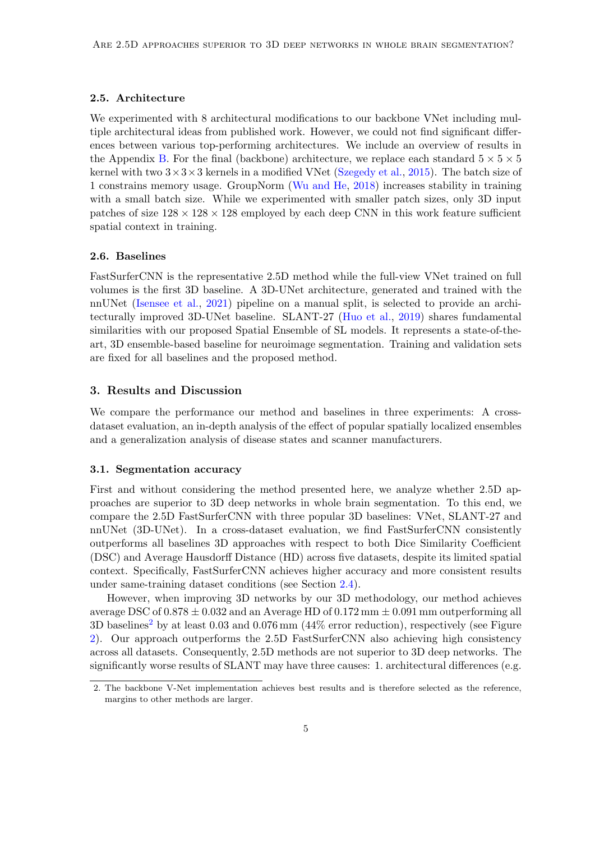#### 2.5. Architecture

We experimented with 8 architectural modifications to our backbone VNet including multiple architectural ideas from published work. However, we could not find significant differences between various top-performing architectures. We include an overview of results in the Appendix [B.](#page-11-2) For the final (backbone) architecture, we replace each standard  $5 \times 5 \times 5$ kernel with two  $3\times3\times3$  kernels in a modified VNet [\(Szegedy et al.,](#page-10-4) [2015\)](#page-10-4). The batch size of 1 constrains memory usage. GroupNorm [\(Wu and He,](#page-11-3) [2018\)](#page-11-3) increases stability in training with a small batch size. While we experimented with smaller patch sizes, only 3D input patches of size  $128 \times 128 \times 128$  employed by each deep CNN in this work feature sufficient spatial context in training.

### 2.6. Baselines

FastSurferCNN is the representative 2.5D method while the full-view VNet trained on full volumes is the first 3D baseline. A 3D-UNet architecture, generated and trained with the nnUNet [\(Isensee et al.,](#page-9-5) [2021\)](#page-9-5) pipeline on a manual split, is selected to provide an architecturally improved 3D-UNet baseline. SLANT-27 [\(Huo et al.,](#page-9-2) [2019\)](#page-9-2) shares fundamental similarities with our proposed Spatial Ensemble of SL models. It represents a state-of-theart, 3D ensemble-based baseline for neuroimage segmentation. Training and validation sets are fixed for all baselines and the proposed method.

# 3. Results and Discussion

We compare the performance our method and baselines in three experiments: A crossdataset evaluation, an in-depth analysis of the effect of popular spatially localized ensembles and a generalization analysis of disease states and scanner manufacturers.

#### 3.1. Segmentation accuracy

First and without considering the method presented here, we analyze whether 2.5D approaches are superior to 3D deep networks in whole brain segmentation. To this end, we compare the 2.5D FastSurferCNN with three popular 3D baselines: VNet, SLANT-27 and nnUNet (3D-UNet). In a cross-dataset evaluation, we find FastSurferCNN consistently outperforms all baselines 3D approaches with respect to both Dice Similarity Coefficient (DSC) and Average Hausdorff Distance (HD) across five datasets, despite its limited spatial context. Specifically, FastSurferCNN achieves higher accuracy and more consistent results under same-training dataset conditions (see Section [2.4\)](#page-3-2).

However, when improving 3D networks by our 3D methodology, our method achieves average DSC of  $0.878 \pm 0.032$  and an Average HD of  $0.172 \text{ mm} \pm 0.091 \text{ mm}$  outperforming all 3D baselines<sup>[2](#page-4-0)</sup> by at least  $0.03$  and  $0.076$  mm  $(44\%$  error reduction), respectively (see Figure [2\)](#page-5-0). Our approach outperforms the 2.5D FastSurferCNN also achieving high consistency across all datasets. Consequently, 2.5D methods are not superior to 3D deep networks. The significantly worse results of SLANT may have three causes: 1. architectural differences (e.g.

<span id="page-4-0"></span><sup>2.</sup> The backbone V-Net implementation achieves best results and is therefore selected as the reference, margins to other methods are larger.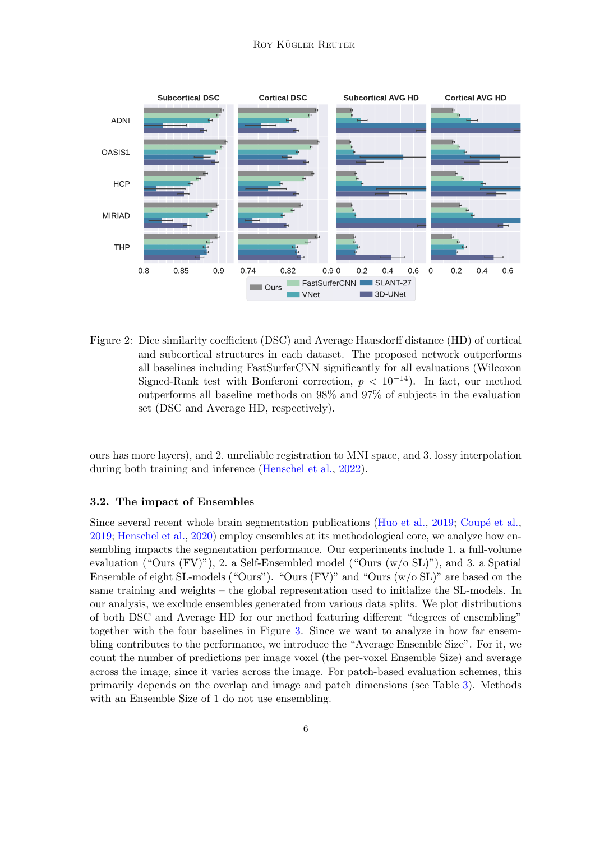#### ROY KÜGLER REUTER



<span id="page-5-0"></span>Figure 2: Dice similarity coefficient (DSC) and Average Hausdorff distance (HD) of cortical and subcortical structures in each dataset. The proposed network outperforms all baselines including FastSurferCNN significantly for all evaluations (Wilcoxon Signed-Rank test with Bonferoni correction,  $p < 10^{-14}$ ). In fact, our method outperforms all baseline methods on 98% and 97% of subjects in the evaluation set (DSC and Average HD, respectively).

ours has more layers), and 2. unreliable registration to MNI space, and 3. lossy interpolation during both training and inference [\(Henschel et al.,](#page-8-6) [2022\)](#page-8-6).

# 3.2. The impact of Ensembles

Since several recent whole brain segmentation publications [\(Huo et al.,](#page-9-2)  $2019$ ; Coupé et al., [2019;](#page-8-3) [Henschel et al.,](#page-8-0) [2020\)](#page-8-0) employ ensembles at its methodological core, we analyze how ensembling impacts the segmentation performance. Our experiments include 1. a full-volume evaluation ("Ours (FV)"), 2. a Self-Ensembled model ("Ours (w/o SL)"), and 3. a Spatial Ensemble of eight SL-models ("Ours"). "Ours (FV)" and "Ours (w/o SL)" are based on the same training and weights – the global representation used to initialize the SL-models. In our analysis, we exclude ensembles generated from various data splits. We plot distributions of both DSC and Average HD for our method featuring different "degrees of ensembling" together with the four baselines in Figure [3.](#page-6-0) Since we want to analyze in how far ensembling contributes to the performance, we introduce the "Average Ensemble Size". For it, we count the number of predictions per image voxel (the per-voxel Ensemble Size) and average across the image, since it varies across the image. For patch-based evaluation schemes, this primarily depends on the overlap and image and patch dimensions (see Table [3\)](#page-15-0). Methods with an Ensemble Size of 1 do not use ensembling.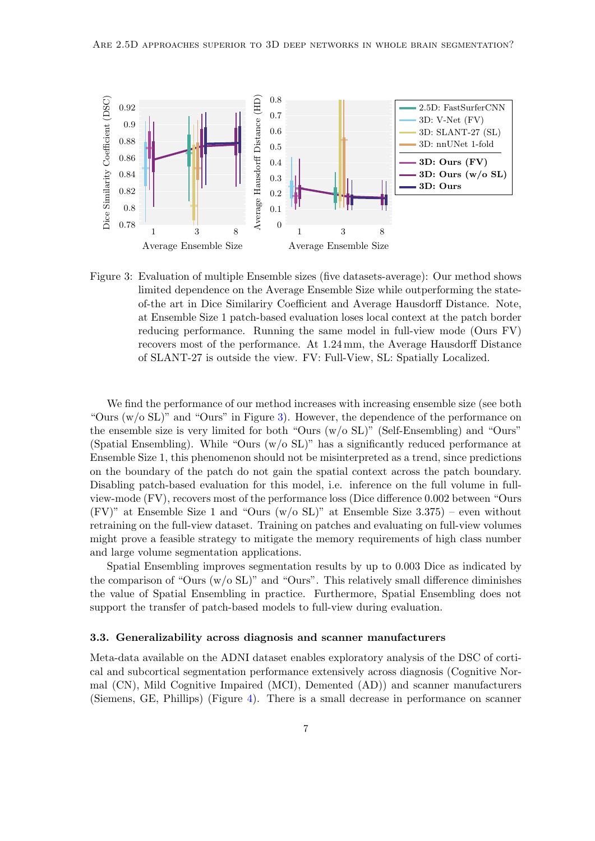

<span id="page-6-0"></span>Figure 3: Evaluation of multiple Ensemble sizes (five datasets-average): Our method shows limited dependence on the Average Ensemble Size while outperforming the stateof-the art in Dice Similariry Coefficient and Average Hausdorff Distance. Note, at Ensemble Size 1 patch-based evaluation loses local context at the patch border reducing performance. Running the same model in full-view mode (Ours FV) recovers most of the performance. At 1.24 mm, the Average Hausdorff Distance of SLANT-27 is outside the view. FV: Full-View, SL: Spatially Localized.

We find the performance of our method increases with increasing ensemble size (see both "Ours  $(w/\sigma SL)$ " and "Ours" in Figure [3\)](#page-6-0). However, the dependence of the performance on the ensemble size is very limited for both "Ours (w/o SL)" (Self-Ensembling) and "Ours" (Spatial Ensembling). While "Ours (w/o SL)" has a significantly reduced performance at Ensemble Size 1, this phenomenon should not be misinterpreted as a trend, since predictions on the boundary of the patch do not gain the spatial context across the patch boundary. Disabling patch-based evaluation for this model, i.e. inference on the full volume in fullview-mode (FV), recovers most of the performance loss (Dice difference 0.002 between "Ours (FV)" at Ensemble Size 1 and "Ours ( $w$ /o SL)" at Ensemble Size 3.375) – even without retraining on the full-view dataset. Training on patches and evaluating on full-view volumes might prove a feasible strategy to mitigate the memory requirements of high class number and large volume segmentation applications.

Spatial Ensembling improves segmentation results by up to 0.003 Dice as indicated by the comparison of "Ours  $(w/\text{o} SL)$ " and "Ours". This relatively small difference diminishes the value of Spatial Ensembling in practice. Furthermore, Spatial Ensembling does not support the transfer of patch-based models to full-view during evaluation.

### 3.3. Generalizability across diagnosis and scanner manufacturers

Meta-data available on the ADNI dataset enables exploratory analysis of the DSC of cortical and subcortical segmentation performance extensively across diagnosis (Cognitive Normal (CN), Mild Cognitive Impaired (MCI), Demented (AD)) and scanner manufacturers (Siemens, GE, Phillips) (Figure [4\)](#page-7-0). There is a small decrease in performance on scanner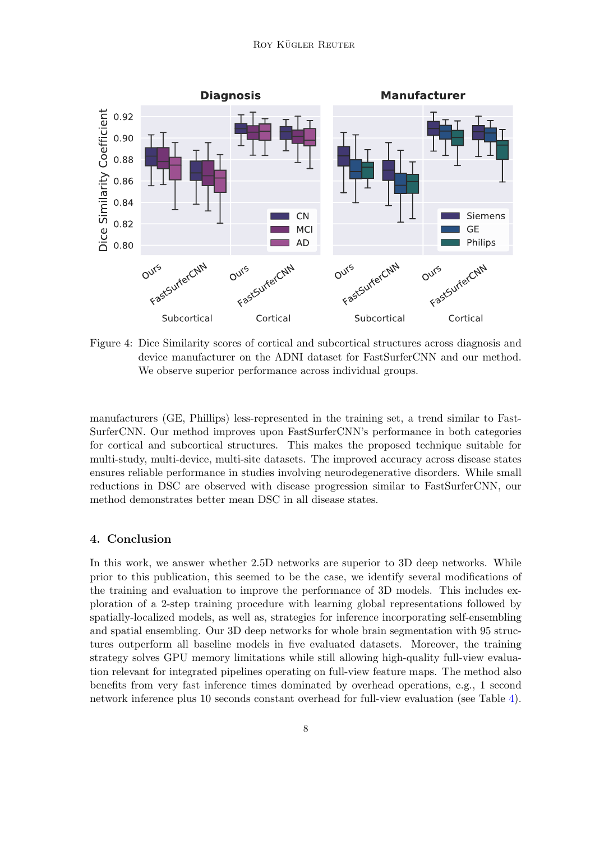

<span id="page-7-0"></span>Figure 4: Dice Similarity scores of cortical and subcortical structures across diagnosis and device manufacturer on the ADNI dataset for FastSurferCNN and our method. We observe superior performance across individual groups.

manufacturers (GE, Phillips) less-represented in the training set, a trend similar to Fast-SurferCNN. Our method improves upon FastSurferCNN's performance in both categories for cortical and subcortical structures. This makes the proposed technique suitable for multi-study, multi-device, multi-site datasets. The improved accuracy across disease states ensures reliable performance in studies involving neurodegenerative disorders. While small reductions in DSC are observed with disease progression similar to FastSurferCNN, our method demonstrates better mean DSC in all disease states.

# 4. Conclusion

In this work, we answer whether 2.5D networks are superior to 3D deep networks. While prior to this publication, this seemed to be the case, we identify several modifications of the training and evaluation to improve the performance of 3D models. This includes exploration of a 2-step training procedure with learning global representations followed by spatially-localized models, as well as, strategies for inference incorporating self-ensembling and spatial ensembling. Our 3D deep networks for whole brain segmentation with 95 structures outperform all baseline models in five evaluated datasets. Moreover, the training strategy solves GPU memory limitations while still allowing high-quality full-view evaluation relevant for integrated pipelines operating on full-view feature maps. The method also benefits from very fast inference times dominated by overhead operations, e.g., 1 second network inference plus 10 seconds constant overhead for full-view evaluation (see Table [4\)](#page-15-1).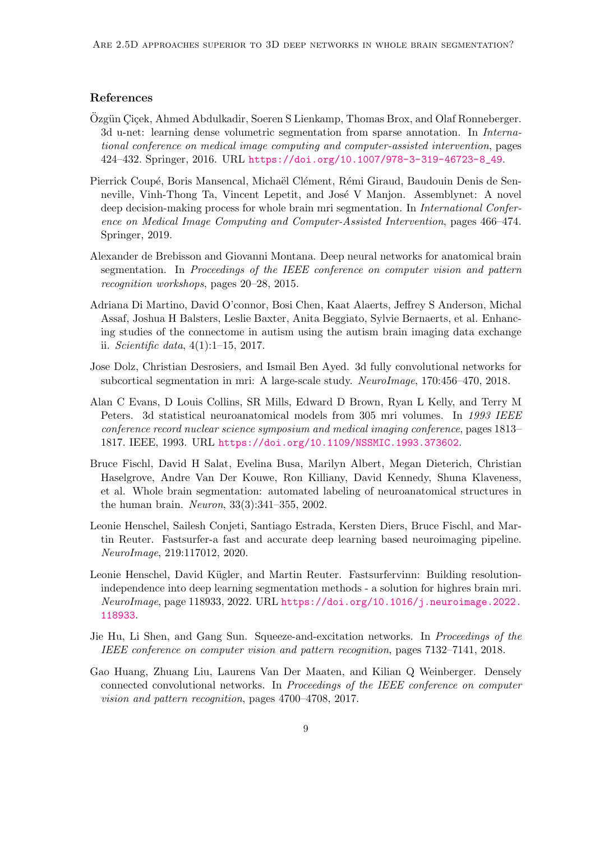### References

- <span id="page-8-1"></span>Özgün Ciçek, Ahmed Abdulkadir, Soeren S Lienkamp, Thomas Brox, and Olaf Ronneberger. 3d u-net: learning dense volumetric segmentation from sparse annotation. In International conference on medical image computing and computer-assisted intervention, pages 424–432. Springer, 2016. URL [https://doi.org/10.1007/978-3-319-46723-8\\_49](https://doi.org/10.1007/978-3-319-46723-8_49).
- <span id="page-8-3"></span>Pierrick Coupé, Boris Mansencal, Michaël Clément, Rémi Giraud, Baudouin Denis de Senneville, Vinh-Thong Ta, Vincent Lepetit, and José V Manjon. Assemblynet: A novel deep decision-making process for whole brain mri segmentation. In International Conference on Medical Image Computing and Computer-Assisted Intervention, pages 466–474. Springer, 2019.
- <span id="page-8-4"></span>Alexander de Brebisson and Giovanni Montana. Deep neural networks for anatomical brain segmentation. In Proceedings of the IEEE conference on computer vision and pattern recognition workshops, pages 20–28, 2015.
- <span id="page-8-7"></span>Adriana Di Martino, David O'connor, Bosi Chen, Kaat Alaerts, Jeffrey S Anderson, Michal Assaf, Joshua H Balsters, Leslie Baxter, Anita Beggiato, Sylvie Bernaerts, et al. Enhancing studies of the connectome in autism using the autism brain imaging data exchange ii. Scientific data,  $4(1):1-15$ , 2017.
- <span id="page-8-2"></span>Jose Dolz, Christian Desrosiers, and Ismail Ben Ayed. 3d fully convolutional networks for subcortical segmentation in mri: A large-scale study. NeuroImage, 170:456–470, 2018.
- <span id="page-8-10"></span>Alan C Evans, D Louis Collins, SR Mills, Edward D Brown, Ryan L Kelly, and Terry M Peters. 3d statistical neuroanatomical models from 305 mri volumes. In 1993 IEEE conference record nuclear science symposium and medical imaging conference, pages 1813– 1817. IEEE, 1993. URL <https://doi.org/10.1109/NSSMIC.1993.373602>.
- <span id="page-8-5"></span>Bruce Fischl, David H Salat, Evelina Busa, Marilyn Albert, Megan Dieterich, Christian Haselgrove, Andre Van Der Kouwe, Ron Killiany, David Kennedy, Shuna Klaveness, et al. Whole brain segmentation: automated labeling of neuroanatomical structures in the human brain. Neuron, 33(3):341–355, 2002.
- <span id="page-8-0"></span>Leonie Henschel, Sailesh Conjeti, Santiago Estrada, Kersten Diers, Bruce Fischl, and Martin Reuter. Fastsurfer-a fast and accurate deep learning based neuroimaging pipeline. NeuroImage, 219:117012, 2020.
- <span id="page-8-6"></span>Leonie Henschel, David Kügler, and Martin Reuter. Fastsurfervinn: Building resolutionindependence into deep learning segmentation methods - a solution for highres brain mri. NeuroImage, page 118933, 2022. URL [https://doi.org/10.1016/j.neuroimage.2022.](https://doi.org/10.1016/j.neuroimage.2022.118933) [118933](https://doi.org/10.1016/j.neuroimage.2022.118933).
- <span id="page-8-9"></span>Jie Hu, Li Shen, and Gang Sun. Squeeze-and-excitation networks. In Proceedings of the IEEE conference on computer vision and pattern recognition, pages 7132–7141, 2018.
- <span id="page-8-8"></span>Gao Huang, Zhuang Liu, Laurens Van Der Maaten, and Kilian Q Weinberger. Densely connected convolutional networks. In Proceedings of the IEEE conference on computer vision and pattern recognition, pages 4700–4708, 2017.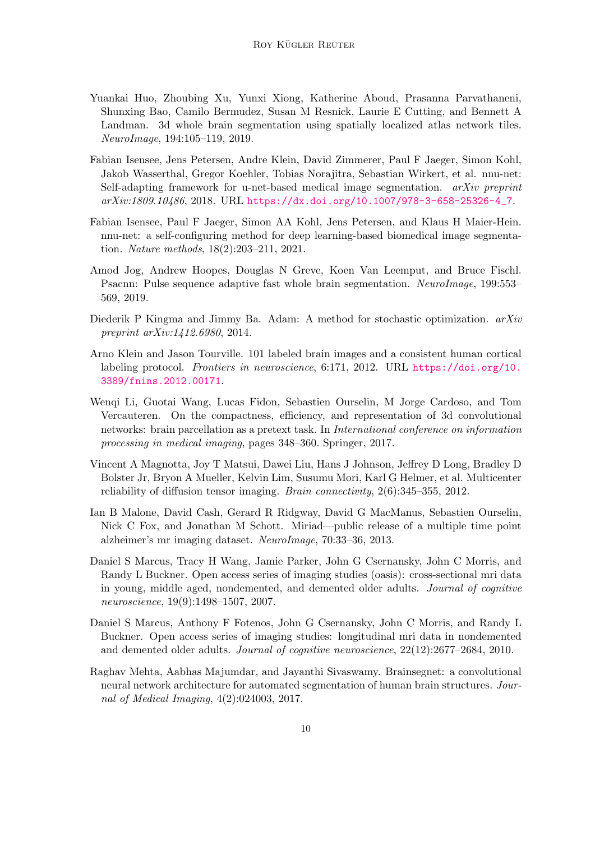- <span id="page-9-2"></span>Yuankai Huo, Zhoubing Xu, Yunxi Xiong, Katherine Aboud, Prasanna Parvathaneni, Shunxing Bao, Camilo Bermudez, Susan M Resnick, Laurie E Cutting, and Bennett A Landman. 3d whole brain segmentation using spatially localized atlas network tiles. NeuroImage, 194:105–119, 2019.
- <span id="page-9-11"></span>Fabian Isensee, Jens Petersen, Andre Klein, David Zimmerer, Paul F Jaeger, Simon Kohl, Jakob Wasserthal, Gregor Koehler, Tobias Norajitra, Sebastian Wirkert, et al. nnu-net: Self-adapting framework for u-net-based medical image segmentation.  $arXiv$  preprint arXiv:1809.10486, 2018. URL [https://dx.doi.org/10.1007/978-3-658-25326-4\\_7](https://dx.doi.org/10.1007/978-3-658-25326-4_7).
- <span id="page-9-5"></span>Fabian Isensee, Paul F Jaeger, Simon AA Kohl, Jens Petersen, and Klaus H Maier-Hein. nnu-net: a self-configuring method for deep learning-based biomedical image segmentation. Nature methods, 18(2):203–211, 2021.
- <span id="page-9-3"></span>Amod Jog, Andrew Hoopes, Douglas N Greve, Koen Van Leemput, and Bruce Fischl. Psacnn: Pulse sequence adaptive fast whole brain segmentation. NeuroImage, 199:553– 569, 2019.
- <span id="page-9-10"></span>Diederik P Kingma and Jimmy Ba. Adam: A method for stochastic optimization.  $arXiv$ preprint arXiv:1412.6980, 2014.
- <span id="page-9-4"></span>Arno Klein and Jason Tourville. 101 labeled brain images and a consistent human cortical labeling protocol. Frontiers in neuroscience, 6:171, 2012. URL [https://doi.org/10.](https://doi.org/10.3389/fnins.2012.00171) [3389/fnins.2012.00171](https://doi.org/10.3389/fnins.2012.00171).
- <span id="page-9-1"></span>Wenqi Li, Guotai Wang, Lucas Fidon, Sebastien Ourselin, M Jorge Cardoso, and Tom Vercauteren. On the compactness, efficiency, and representation of 3d convolutional networks: brain parcellation as a pretext task. In International conference on information processing in medical imaging, pages 348–360. Springer, 2017.
- <span id="page-9-9"></span>Vincent A Magnotta, Joy T Matsui, Dawei Liu, Hans J Johnson, Jeffrey D Long, Bradley D Bolster Jr, Bryon A Mueller, Kelvin Lim, Susumu Mori, Karl G Helmer, et al. Multicenter reliability of diffusion tensor imaging. Brain connectivity, 2(6):345–355, 2012.
- <span id="page-9-8"></span>Ian B Malone, David Cash, Gerard R Ridgway, David G MacManus, Sebastien Ourselin, Nick C Fox, and Jonathan M Schott. Miriad—public release of a multiple time point alzheimer's mr imaging dataset. NeuroImage, 70:33–36, 2013.
- <span id="page-9-6"></span>Daniel S Marcus, Tracy H Wang, Jamie Parker, John G Csernansky, John C Morris, and Randy L Buckner. Open access series of imaging studies (oasis): cross-sectional mri data in young, middle aged, nondemented, and demented older adults. Journal of cognitive neuroscience, 19(9):1498–1507, 2007.
- <span id="page-9-7"></span>Daniel S Marcus, Anthony F Fotenos, John G Csernansky, John C Morris, and Randy L Buckner. Open access series of imaging studies: longitudinal mri data in nondemented and demented older adults. Journal of cognitive neuroscience, 22(12):2677–2684, 2010.
- <span id="page-9-0"></span>Raghav Mehta, Aabhas Majumdar, and Jayanthi Sivaswamy. Brainsegnet: a convolutional neural network architecture for automated segmentation of human brain structures. Journal of Medical Imaging, 4(2):024003, 2017.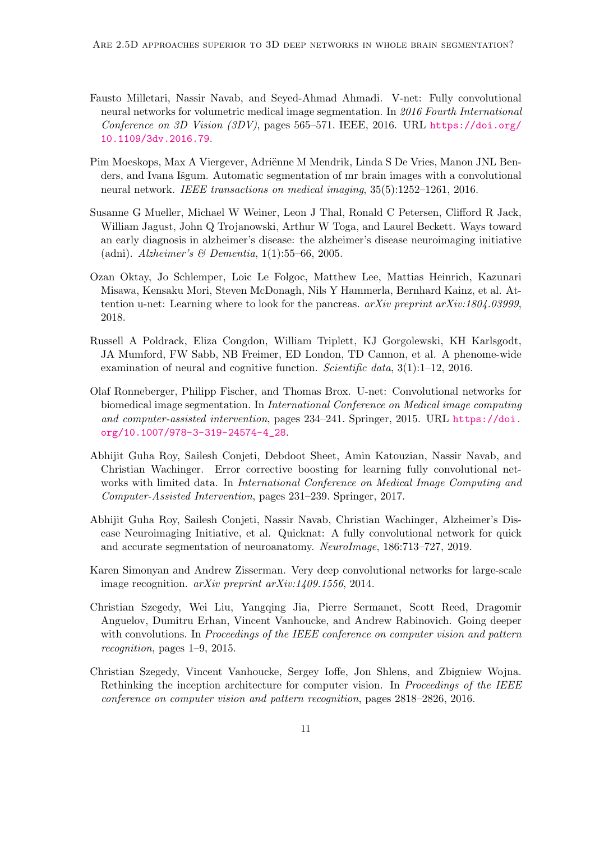- <span id="page-10-0"></span>Fausto Milletari, Nassir Navab, and Seyed-Ahmad Ahmadi. V-net: Fully convolutional neural networks for volumetric medical image segmentation. In 2016 Fourth International Conference on 3D Vision (3DV), pages 565–571. IEEE, 2016. URL [https://doi.org/](https://doi.org/10.1109/3dv.2016.79) [10.1109/3dv.2016.79](https://doi.org/10.1109/3dv.2016.79).
- <span id="page-10-1"></span>Pim Moeskops, Max A Viergever, Adriënne M Mendrik, Linda S De Vries, Manon JNL Benders, and Ivana Išgum. Automatic segmentation of mr brain images with a convolutional neural network. IEEE transactions on medical imaging, 35(5):1252–1261, 2016.
- <span id="page-10-5"></span>Susanne G Mueller, Michael W Weiner, Leon J Thal, Ronald C Petersen, Clifford R Jack, William Jagust, John Q Trojanowski, Arthur W Toga, and Laurel Beckett. Ways toward an early diagnosis in alzheimer's disease: the alzheimer's disease neuroimaging initiative (adni). Alzheimer's & Dementia,  $1(1)$ :55–66, 2005.
- <span id="page-10-9"></span>Ozan Oktay, Jo Schlemper, Loic Le Folgoc, Matthew Lee, Mattias Heinrich, Kazunari Misawa, Kensaku Mori, Steven McDonagh, Nils Y Hammerla, Bernhard Kainz, et al. Attention u-net: Learning where to look for the pancreas. arXiv preprint arXiv:1804.03999, 2018.
- <span id="page-10-6"></span>Russell A Poldrack, Eliza Congdon, William Triplett, KJ Gorgolewski, KH Karlsgodt, JA Mumford, FW Sabb, NB Freimer, ED London, TD Cannon, et al. A phenome-wide examination of neural and cognitive function. Scientific data, 3(1):1–12, 2016.
- <span id="page-10-10"></span>Olaf Ronneberger, Philipp Fischer, and Thomas Brox. U-net: Convolutional networks for biomedical image segmentation. In International Conference on Medical image computing and computer-assisted intervention, pages 234–241. Springer, 2015. URL [https://doi.](https://doi.org/10.1007/978-3-319-24574-4_28) [org/10.1007/978-3-319-24574-4\\_28](https://doi.org/10.1007/978-3-319-24574-4_28).
- <span id="page-10-2"></span>Abhijit Guha Roy, Sailesh Conjeti, Debdoot Sheet, Amin Katouzian, Nassir Navab, and Christian Wachinger. Error corrective boosting for learning fully convolutional networks with limited data. In International Conference on Medical Image Computing and Computer-Assisted Intervention, pages 231–239. Springer, 2017.
- <span id="page-10-3"></span>Abhijit Guha Roy, Sailesh Conjeti, Nassir Navab, Christian Wachinger, Alzheimer's Disease Neuroimaging Initiative, et al. Quicknat: A fully convolutional network for quick and accurate segmentation of neuroanatomy. NeuroImage, 186:713–727, 2019.
- <span id="page-10-7"></span>Karen Simonyan and Andrew Zisserman. Very deep convolutional networks for large-scale image recognition. arXiv preprint arXiv:1409.1556, 2014.
- <span id="page-10-4"></span>Christian Szegedy, Wei Liu, Yangqing Jia, Pierre Sermanet, Scott Reed, Dragomir Anguelov, Dumitru Erhan, Vincent Vanhoucke, and Andrew Rabinovich. Going deeper with convolutions. In Proceedings of the IEEE conference on computer vision and pattern recognition, pages 1–9, 2015.
- <span id="page-10-8"></span>Christian Szegedy, Vincent Vanhoucke, Sergey Ioffe, Jon Shlens, and Zbigniew Wojna. Rethinking the inception architecture for computer vision. In *Proceedings of the IEEE* conference on computer vision and pattern recognition, pages 2818–2826, 2016.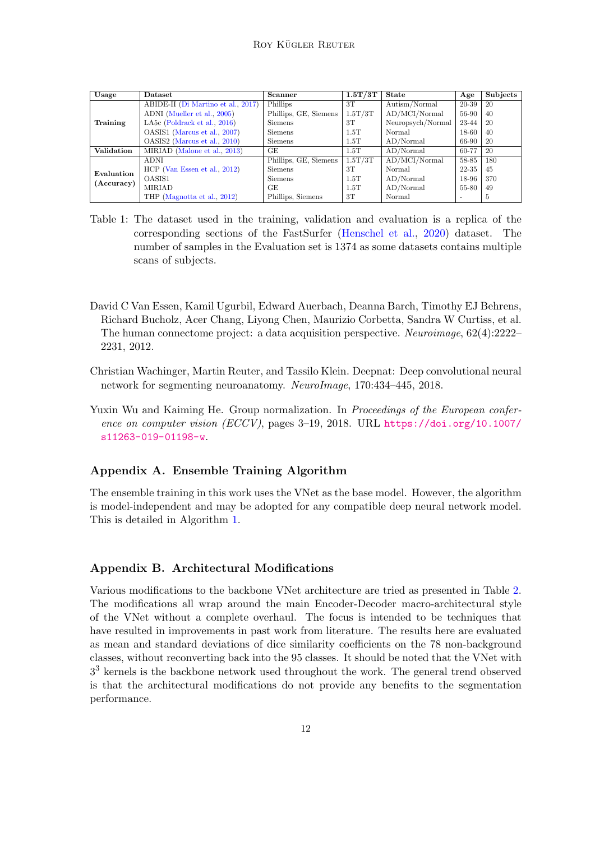| Usage                    | <b>Dataset</b>                     | <b>Scanner</b>        | 1.5T/3T | <b>State</b>      | Age       | Subjects      |
|--------------------------|------------------------------------|-----------------------|---------|-------------------|-----------|---------------|
| Training                 | ABIDE-II (Di Martino et al., 2017) | Phillips              | 3T      | Autism/Normal     | 20-39     | 20            |
|                          | ADNI (Mueller et al., 2005)        | Phillips, GE, Siemens | 1.5T/3T | AD/MCI/Normal     | 56-90     | 40            |
|                          | LA5 $c$ (Poldrack et al., 2016)    | Siemens               | 3T      | Neuropsych/Normal | 23-44     | 20            |
|                          | OASIS1 (Marcus et al., 2007)       | <b>Siemens</b>        | 1.5T    | Normal            | $18 - 60$ | 40            |
|                          | OASIS2 (Marcus et al., 2010)       | Siemens               | 1.5T    | AD/Normal         | 66-90     | 20            |
| <b>Validation</b>        | MIRIAD (Malone et al., 2013)       | GE.                   | 1.5T    | AD/Normal         | 60-77     | 20            |
| Evaluation<br>(Accuracy) | <b>ADNI</b>                        | Phillips, GE, Siemens | 1.5T/3T | AD/MCI/Normal     | 58-85     | 180           |
|                          | $HCP$ (Van Essen et al., 2012)     | <b>Siemens</b>        | 3T      | Normal            | 22-35     | 45            |
|                          | OASIS1                             | <b>Siemens</b>        | 1.5T    | AD/Normal         | 18-96     | 370           |
|                          | MIRIAD                             | GE.                   | 1.5T    | AD/Normal         | 55-80     | 49            |
|                          | THP (Magnotta et al., 2012)        | Phillips, Siemens     | 3T      | Normal            |           | $\mathcal{D}$ |

- <span id="page-11-1"></span>Table 1: The dataset used in the training, validation and evaluation is a replica of the corresponding sections of the FastSurfer [\(Henschel et al.,](#page-8-0) [2020\)](#page-8-0) dataset. The number of samples in the Evaluation set is 1374 as some datasets contains multiple scans of subjects.
- <span id="page-11-4"></span>David C Van Essen, Kamil Ugurbil, Edward Auerbach, Deanna Barch, Timothy EJ Behrens, Richard Bucholz, Acer Chang, Liyong Chen, Maurizio Corbetta, Sandra W Curtiss, et al. The human connectome project: a data acquisition perspective. Neuroimage, 62(4):2222– 2231, 2012.
- <span id="page-11-0"></span>Christian Wachinger, Martin Reuter, and Tassilo Klein. Deepnat: Deep convolutional neural network for segmenting neuroanatomy. NeuroImage, 170:434–445, 2018.
- <span id="page-11-3"></span>Yuxin Wu and Kaiming He. Group normalization. In *Proceedings of the European confer*ence on computer vision (ECCV), pages 3–19, 2018. URL [https://doi.org/10.1007/](https://doi.org/10.1007/s11263-019-01198-w) [s11263-019-01198-w](https://doi.org/10.1007/s11263-019-01198-w).

# Appendix A. Ensemble Training Algorithm

The ensemble training in this work uses the VNet as the base model. However, the algorithm is model-independent and may be adopted for any compatible deep neural network model. This is detailed in Algorithm [1.](#page-12-0)

# <span id="page-11-2"></span>Appendix B. Architectural Modifications

Various modifications to the backbone VNet architecture are tried as presented in Table [2.](#page-13-0) The modifications all wrap around the main Encoder-Decoder macro-architectural style of the VNet without a complete overhaul. The focus is intended to be techniques that have resulted in improvements in past work from literature. The results here are evaluated as mean and standard deviations of dice similarity coefficients on the 78 non-background classes, without reconverting back into the 95 classes. It should be noted that the VNet with  $3<sup>3</sup>$  kernels is the backbone network used throughout the work. The general trend observed is that the architectural modifications do not provide any benefits to the segmentation performance.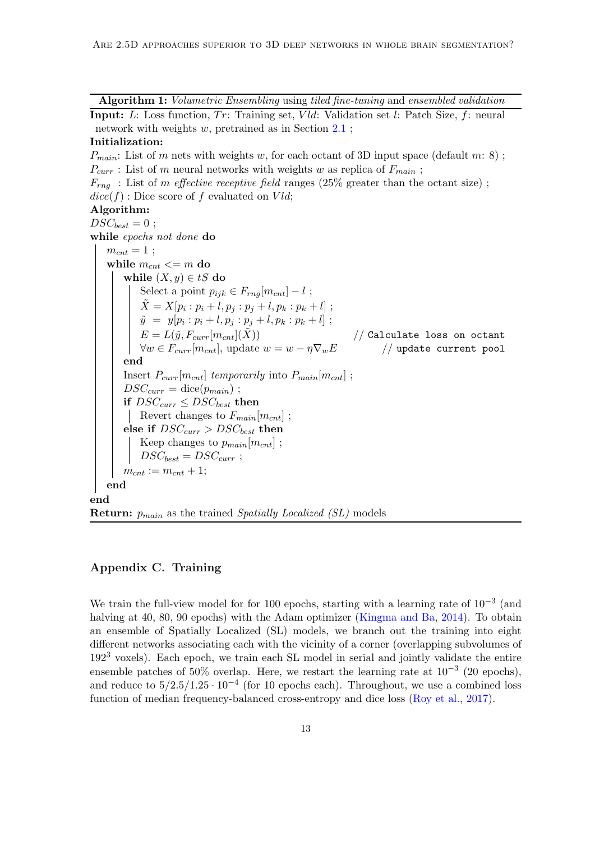Algorithm 1: Volumetric Ensembling using tiled fine-tuning and ensembled validation

**Input:** L: Loss function,  $Tr$ : Training set, Vld: Validation set l: Patch Size, f: neural network with weights w, pretrained as in Section [2.1](#page-1-0) ;

### Initialization:

 $P_{main}$ : List of m nets with weights w, for each octant of 3D input space (default m: 8);  $P_{curr}$ : List of m neural networks with weights w as replica of  $F_{main}$ ;  $F_{\text{rng}}$ : List of m effective receptive field ranges (25% greater than the octant size);  $dice(f)$ : Dice score of f evaluated on  $Vld$ ; Algorithm:  $DSC_{best} = 0$ ; while epochs not done do  $m_{cnt} = 1$ ; while  $m_{cnt} \leq m$  do while  $(X, y) \in tS$  do Select a point  $p_{ijk} \in F_{rng}[m_{cnt}] - l$ ;  $\tilde{X} = X[p_i : p_i + l, p_j : p_j + l, p_k : p_k + l]$ ;  $\tilde{y} = y[p_i : p_i + l, p_j : p_j + l, p_k : p_k + l]$ ;  $E = L(\tilde{y}, F_{curr}[m_{cnt}](\tilde{X}))$  // Calculate loss on octant  $\forall w \in F_{curr}[m_{cnt}],$  update  $w = w - \eta \nabla_w E \qquad \qquad \text{ // update current pool}$ end Insert  $P_{curr}[m_{cnt}]$  temporarily into  $P_{main}[m_{cnt}]$ ;  $DSC_{curr} = \text{dice}(p_{main})$ ; if  $DSC_{curr} \leq DSC_{best}$  then Revert changes to  $F_{main}[m_{cnt}]$ ; else if  $DSC_{curr} > DSC_{best}$  then Keep changes to  $p_{main}[m_{cnt}]$ ;  $DSC_{best} = DSC_{curr}$ ;  $m_{cnt} := m_{cnt} + 1;$ end end **Return:**  $p_{main}$  as the trained *Spatially Localized (SL)* models

# <span id="page-12-0"></span>Appendix C. Training

We train the full-view model for for 100 epochs, starting with a learning rate of  $10^{-3}$  (and halving at 40, 80, 90 epochs) with the Adam optimizer [\(Kingma and Ba,](#page-9-10) [2014\)](#page-9-10). To obtain an ensemble of Spatially Localized (SL) models, we branch out the training into eight different networks associating each with the vicinity of a corner (overlapping subvolumes of 192<sup>3</sup> voxels). Each epoch, we train each SL model in serial and jointly validate the entire ensemble patches of 50% overlap. Here, we restart the learning rate at  $10^{-3}$  (20 epochs), and reduce to  $5/2.5/1.25 \cdot 10^{-4}$  (for 10 epochs each). Throughout, we use a combined loss function of median frequency-balanced cross-entropy and dice loss [\(Roy et al.,](#page-10-2) [2017\)](#page-10-2).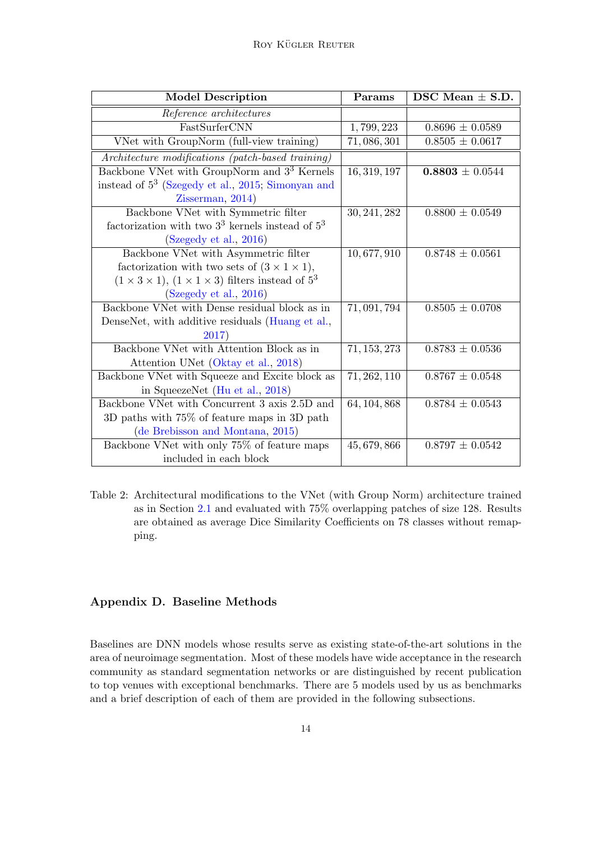| <b>Model Description</b>                                                | Params       | DSC Mean $\pm$ S.D. |  |
|-------------------------------------------------------------------------|--------------|---------------------|--|
| Reference architectures                                                 |              |                     |  |
| FastSurferCNN                                                           | 1,799,223    | $0.8696 \pm 0.0589$ |  |
| VNet with GroupNorm (full-view training)                                | 71,086,301   | $0.8505 \pm 0.0617$ |  |
| Architecture modifications (patch-based training)                       |              |                     |  |
| Backbone VNet with GroupNorm and 3 <sup>3</sup> Kernels                 | 16, 319, 197 | $0.8803 \pm 0.0544$ |  |
| instead of 5 <sup>3</sup> (Szegedy et al., 2015; Simonyan and           |              |                     |  |
| Zisserman, 2014)                                                        |              |                     |  |
| Backbone VNet with Symmetric filter                                     | 30, 241, 282 | $0.8800 \pm 0.0549$ |  |
| factorization with two $3^3$ kernels instead of $5^3$                   |              |                     |  |
| (Szegedy et al., 2016)                                                  |              |                     |  |
| Backbone VNet with Asymmetric filter                                    | 10,677,910   | $0.8748 \pm 0.0561$ |  |
| factorization with two sets of $(3 \times 1 \times 1)$ ,                |              |                     |  |
| $(1 \times 3 \times 1), (1 \times 1 \times 3)$ filters instead of $5^3$ |              |                     |  |
| (Szegedy et al., 2016)                                                  |              |                     |  |
| Backbone VNet with Dense residual block as in                           | 71, 091, 794 | $0.8505 \pm 0.0708$ |  |
| DenseNet, with additive residuals (Huang et al.,                        |              |                     |  |
| 2017)                                                                   |              |                     |  |
| Backbone VNet with Attention Block as in                                | 71, 153, 273 | $0.8783 \pm 0.0536$ |  |
| Attention UNet (Oktay et al., 2018)                                     |              |                     |  |
| Backbone VNet with Squeeze and Excite block as                          | 71, 262, 110 | $0.8767 \pm 0.0548$ |  |
| in SqueezeNet (Hu et al., 2018)                                         |              |                     |  |
| Backbone VNet with Concurrent 3 axis 2.5D and                           | 64, 104, 868 | $0.8784 \pm 0.0543$ |  |
| 3D paths with 75% of feature maps in 3D path                            |              |                     |  |
| (de Brebisson and Montana, 2015)                                        |              |                     |  |
| Backbone VNet with only 75% of feature maps                             | 45, 679, 866 | $0.8797 \pm 0.0542$ |  |
| included in each block                                                  |              |                     |  |

<span id="page-13-0"></span>Table 2: Architectural modifications to the VNet (with Group Norm) architecture trained as in Section [2.1](#page-1-0) and evaluated with 75% overlapping patches of size 128. Results are obtained as average Dice Similarity Coefficients on 78 classes without remapping.

# Appendix D. Baseline Methods

Baselines are DNN models whose results serve as existing state-of-the-art solutions in the area of neuroimage segmentation. Most of these models have wide acceptance in the research community as standard segmentation networks or are distinguished by recent publication to top venues with exceptional benchmarks. There are 5 models used by us as benchmarks and a brief description of each of them are provided in the following subsections.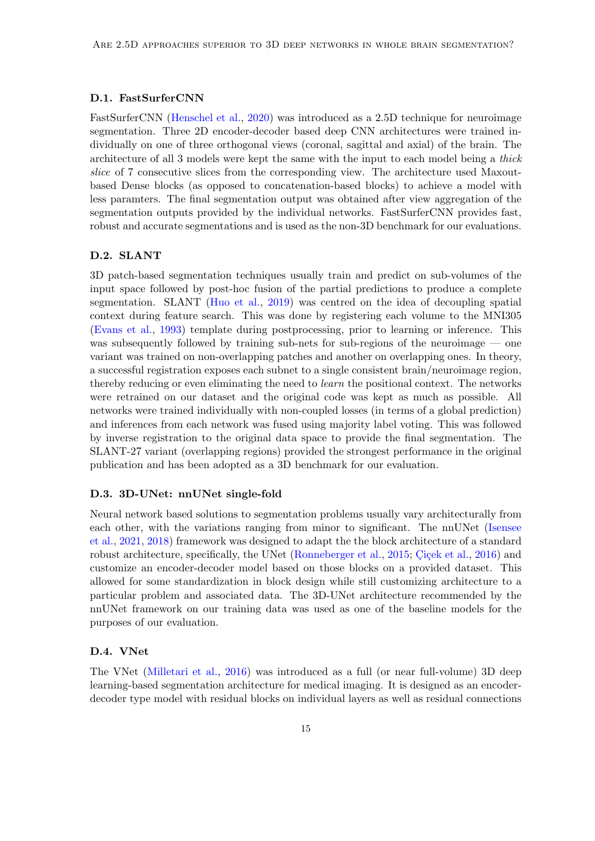### D.1. FastSurferCNN

FastSurferCNN [\(Henschel et al.,](#page-8-0) [2020\)](#page-8-0) was introduced as a 2.5D technique for neuroimage segmentation. Three 2D encoder-decoder based deep CNN architectures were trained individually on one of three orthogonal views (coronal, sagittal and axial) of the brain. The architecture of all 3 models were kept the same with the input to each model being a thick slice of 7 consecutive slices from the corresponding view. The architecture used Maxoutbased Dense blocks (as opposed to concatenation-based blocks) to achieve a model with less paramters. The final segmentation output was obtained after view aggregation of the segmentation outputs provided by the individual networks. FastSurferCNN provides fast, robust and accurate segmentations and is used as the non-3D benchmark for our evaluations.

# D.2. SLANT

3D patch-based segmentation techniques usually train and predict on sub-volumes of the input space followed by post-hoc fusion of the partial predictions to produce a complete segmentation. SLANT [\(Huo et al.,](#page-9-2) [2019\)](#page-9-2) was centred on the idea of decoupling spatial context during feature search. This was done by registering each volume to the MNI305 [\(Evans et al.,](#page-8-10) [1993\)](#page-8-10) template during postprocessing, prior to learning or inference. This was subsequently followed by training sub-nets for sub-regions of the neuroimage — one variant was trained on non-overlapping patches and another on overlapping ones. In theory, a successful registration exposes each subnet to a single consistent brain/neuroimage region, thereby reducing or even eliminating the need to learn the positional context. The networks were retrained on our dataset and the original code was kept as much as possible. All networks were trained individually with non-coupled losses (in terms of a global prediction) and inferences from each network was fused using majority label voting. This was followed by inverse registration to the original data space to provide the final segmentation. The SLANT-27 variant (overlapping regions) provided the strongest performance in the original publication and has been adopted as a 3D benchmark for our evaluation.

#### D.3. 3D-UNet: nnUNet single-fold

Neural network based solutions to segmentation problems usually vary architecturally from each other, with the variations ranging from minor to significant. The nnUNet [\(Isensee](#page-9-5) [et al.,](#page-9-5) [2021,](#page-9-5) [2018\)](#page-9-11) framework was designed to adapt the the block architecture of a standard robust architecture, specifically, the UNet [\(Ronneberger et al.,](#page-10-10) [2015;](#page-10-10) Cicek et al., [2016\)](#page-8-1) and customize an encoder-decoder model based on those blocks on a provided dataset. This allowed for some standardization in block design while still customizing architecture to a particular problem and associated data. The 3D-UNet architecture recommended by the nnUNet framework on our training data was used as one of the baseline models for the purposes of our evaluation.

# D.4. VNet

The VNet [\(Milletari et al.,](#page-10-0) [2016\)](#page-10-0) was introduced as a full (or near full-volume) 3D deep learning-based segmentation architecture for medical imaging. It is designed as an encoderdecoder type model with residual blocks on individual layers as well as residual connections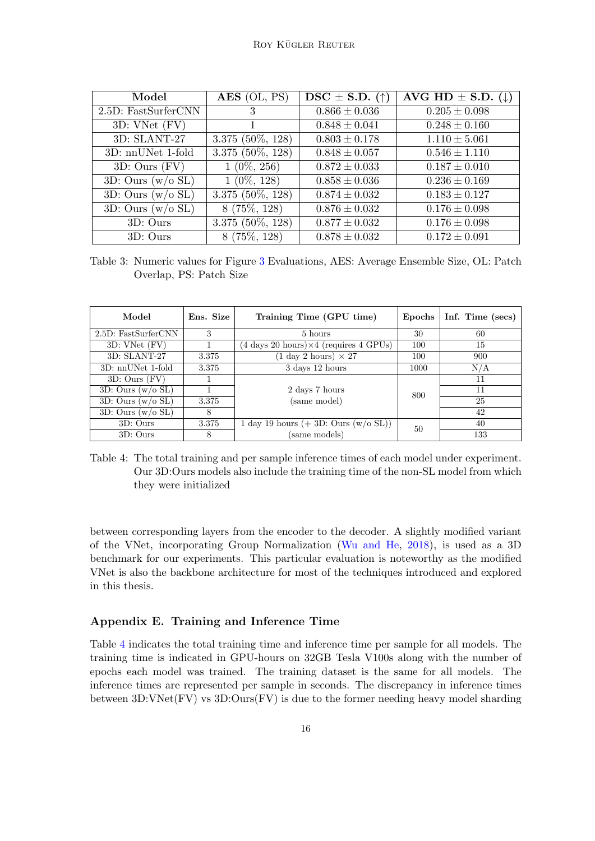| Model               | $\overline{AES}$ (OL, PS) | $\text{DSC} \pm \text{S.D.}$ (†) | AVG HD $\pm$ S.D. ( $\downarrow$ ) |
|---------------------|---------------------------|----------------------------------|------------------------------------|
| 2.5D: FastSurferCNN | 3                         | $0.866 \pm 0.036$                | $0.205 \pm 0.098$                  |
| 3D: VNet (FV)       |                           | $0.848 \pm 0.041$                | $0.248 \pm 0.160$                  |
| 3D: SLANT-27        | $3.375(50\%, 128)$        | $0.803 \pm 0.178$                | $1.110 \pm 5.061$                  |
| 3D: nnUNet 1-fold   | $3.375$ (50%, 128)        | $0.848 \pm 0.057$                | $0.546 \pm 1.110$                  |
| $3D:$ Ours $(FV)$   | $1(0\%, 256)$             | $0.872 \pm 0.033$                | $0.187 \pm 0.010$                  |
| 3D: Ours $(w/o SL)$ | $1(0\%, 128)$             | $0.858 \pm 0.036$                | $0.236 \pm 0.169$                  |
| 3D: Ours $(w/o SL)$ | $3.375$ (50\%, 128)       | $0.874 \pm 0.032$                | $0.183 \pm 0.127$                  |
| 3D: Ours $(w/o SL)$ | $8(75\%, 128)$            | $0.876 \pm 0.032$                | $0.176 \pm 0.098$                  |
| 3D: Ours            | $3.375$ (50%, 128)        | $0.877 \pm 0.032$                | $0.176 \pm 0.098$                  |
| 3D: Ours            | $8(75\%, 128)$            | $0.878 \pm 0.032$                | $0.172 \pm 0.091$                  |

<span id="page-15-0"></span>Table 3: Numeric values for Figure [3](#page-6-0) Evaluations, AES: Average Ensemble Size, OL: Patch Overlap, PS: Patch Size

| Model                  | Ens. Size | Training Time (GPU time)                                                         | Epochs | Inf. Time (secs) |
|------------------------|-----------|----------------------------------------------------------------------------------|--------|------------------|
| 2.5D: FastSurferCNN    | 3         | 5 hours                                                                          | 30     | 60               |
| 3D: VNet (FV)          |           | $(4 \text{ days } 20 \text{ hours}) \times 4 \text{ (requires } 4 \text{ GPUs)}$ | 100    | 15               |
| 3D: SLANT-27           | 3.375     | $(1 \text{ day } 2 \text{ hours}) \times 27$                                     | 100    | 900              |
| 3D: nnUNet 1-fold      | 3.375     | 3 days 12 hours                                                                  | 1000   | N/A              |
| $3D:$ Ours $(FV)$      |           |                                                                                  |        | 11               |
| 3D: Ours $(w/o SL)$    |           | 2 days 7 hours                                                                   | 800    | 11               |
| $3D:$ Ours $(w/o)$ SL) | 3.375     | (same model)                                                                     |        | 25               |
| 3D: Ours $(w/o SL)$    | 8         |                                                                                  |        | 42               |
| $3D:$ Ours             | 3.375     | 1 day 19 hours $(+ 3D:$ Ours $(w/o \, SL))$                                      | 50     | 40               |
| $3D:$ Ours             | 8         | (same models)                                                                    |        | 133              |

<span id="page-15-1"></span>Table 4: The total training and per sample inference times of each model under experiment. Our 3D:Ours models also include the training time of the non-SL model from which they were initialized

between corresponding layers from the encoder to the decoder. A slightly modified variant of the VNet, incorporating Group Normalization [\(Wu and He,](#page-11-3) [2018\)](#page-11-3), is used as a 3D benchmark for our experiments. This particular evaluation is noteworthy as the modified VNet is also the backbone architecture for most of the techniques introduced and explored in this thesis.

# Appendix E. Training and Inference Time

Table [4](#page-15-1) indicates the total training time and inference time per sample for all models. The training time is indicated in GPU-hours on 32GB Tesla V100s along with the number of epochs each model was trained. The training dataset is the same for all models. The inference times are represented per sample in seconds. The discrepancy in inference times between 3D:VNet(FV) vs 3D:Ours(FV) is due to the former needing heavy model sharding